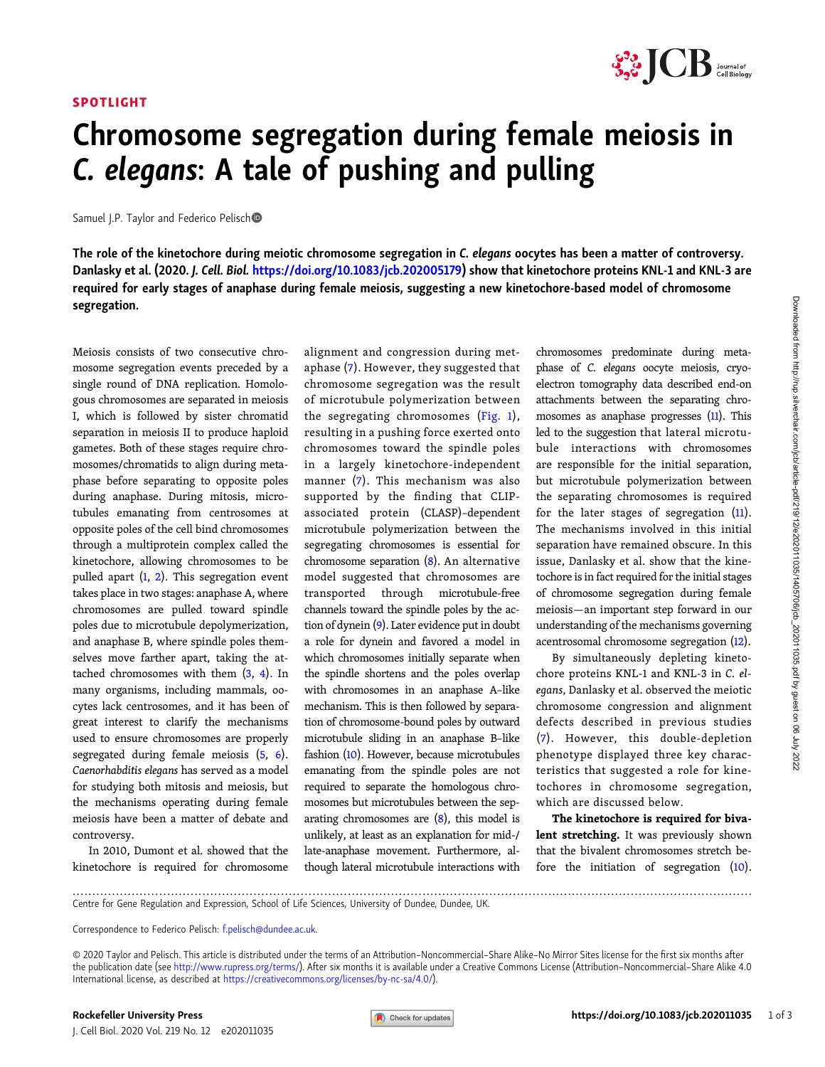## SPOTLIGHT



## Chromosome segregation during female meiosis in C. elegans: A tale of pushing and pulling

Samuel J.P. Taylor and Federico Pelisch

The role of the kinetochore during meiotic chromosome segregation in C. elegans oocytes has been a matter of controversy. Danlasky et al. (2020. J. Cell. Biol. [https://doi.org/10.1083/jcb.202005179\)](https://doi.org/10.1083/jcb.202005179) show that kinetochore proteins KNL-1 and KNL-3 are required for early stages of anaphase during female meiosis, suggesting a new kinetochore-based model of chromosome segregation.

Meiosis consists of two consecutive chromosome segregation events preceded by a single round of DNA replication. Homologous chromosomes are separated in meiosis I, which is followed by sister chromatid separation in meiosis II to produce haploid gametes. Both of these stages require chromosomes/chromatids to align during metaphase before separating to opposite poles during anaphase. During mitosis, microtubules emanating from centrosomes at opposite poles of the cell bind chromosomes through a multiprotein complex called the kinetochore, allowing chromosomes to be pulled apart [\(1](#page-2-0), [2\)](#page-2-0). This segregation event takes place in two stages: anaphase A, where chromosomes are pulled toward spindle poles due to microtubule depolymerization, and anaphase B, where spindle poles themselves move farther apart, taking the attached chromosomes with them  $(3, 4)$  $(3, 4)$  $(3, 4)$  $(3, 4)$  $(3, 4)$ . In many organisms, including mammals, oocytes lack centrosomes, and it has been of great interest to clarify the mechanisms used to ensure chromosomes are properly segregated during female meiosis ([5](#page-2-0), [6\)](#page-2-0). Caenorhabditis elegans has served as a model for studying both mitosis and meiosis, but the mechanisms operating during female meiosis have been a matter of debate and controversy.

In 2010, Dumont et al. showed that the kinetochore is required for chromosome alignment and congression during metaphase [\(7](#page-2-0)). However, they suggested that chromosome segregation was the result of microtubule polymerization between the segregating chromosomes [\(Fig. 1](#page-1-0)), resulting in a pushing force exerted onto chromosomes toward the spindle poles in a largely kinetochore-independent manner ([7\)](#page-2-0). This mechanism was also supported by the finding that CLIPassociated protein (CLASP)–dependent microtubule polymerization between the segregating chromosomes is essential for chromosome separation  $(8)$ . An alternative model suggested that chromosomes are transported through microtubule-free channels toward the spindle poles by the action of dynein [\(9\)](#page-2-0). Later evidence put in doubt a role for dynein and favored a model in which chromosomes initially separate when the spindle shortens and the poles overlap with chromosomes in an anaphase A–like mechanism. This is then followed by separation of chromosome-bound poles by outward microtubule sliding in an anaphase B–like fashion [\(10](#page-2-0)). However, because microtubules emanating from the spindle poles are not required to separate the homologous chromosomes but microtubules between the separating chromosomes are  $(8)$  $(8)$ , this model is unlikely, at least as an explanation for mid-/ late-anaphase movement. Furthermore, although lateral microtubule interactions with chromosomes predominate during metaphase of C. elegans oocyte meiosis, cryoelectron tomography data described end-on attachments between the separating chromosomes as anaphase progresses ([11\)](#page-2-0). This led to the suggestion that lateral microtubule interactions with chromosomes are responsible for the initial separation, but microtubule polymerization between the separating chromosomes is required for the later stages of segregation ([11\)](#page-2-0). The mechanisms involved in this initial separation have remained obscure. In this issue, Danlasky et al. show that the kinetochore is in fact required for the initial stages of chromosome segregation during female meiosis—an important step forward in our understanding of the mechanisms governing acentrosomal chromosome segregation ([12](#page-2-0)).

By simultaneously depleting kinetochore proteins KNL-1 and KNL-3 in C. elegans, Danlasky et al. observed the meiotic chromosome congression and alignment defects described in previous studies [\(7\)](#page-2-0). However, this double-depletion phenotype displayed three key characteristics that suggested a role for kinetochores in chromosome segregation, which are discussed below.

The kinetochore is required for bivalent stretching. It was previously shown that the bivalent chromosomes stretch before the initiation of segregation ([10\)](#page-2-0).

.............................................................................................................................................................................

Centre for Gene Regulation and Expression, School of Life Sciences, University of Dundee, Dundee, UK.

Correspondence to Federico Pelisch: [f.pelisch@dundee.ac.uk](mailto:f.pelisch@dundee.ac.uk).

© 2020 Taylor and Pelisch. This article is distributed under the terms of an Attribution–Noncommercial–Share Alike–No Mirror Sites license for the first six months after the publication date (see <http://www.rupress.org/terms/>). After six months it is available under a Creative Commons License (Attribution–Noncommercial–Share Alike 4.0 International license, as described at <https://creativecommons.org/licenses/by-nc-sa/4.0/>).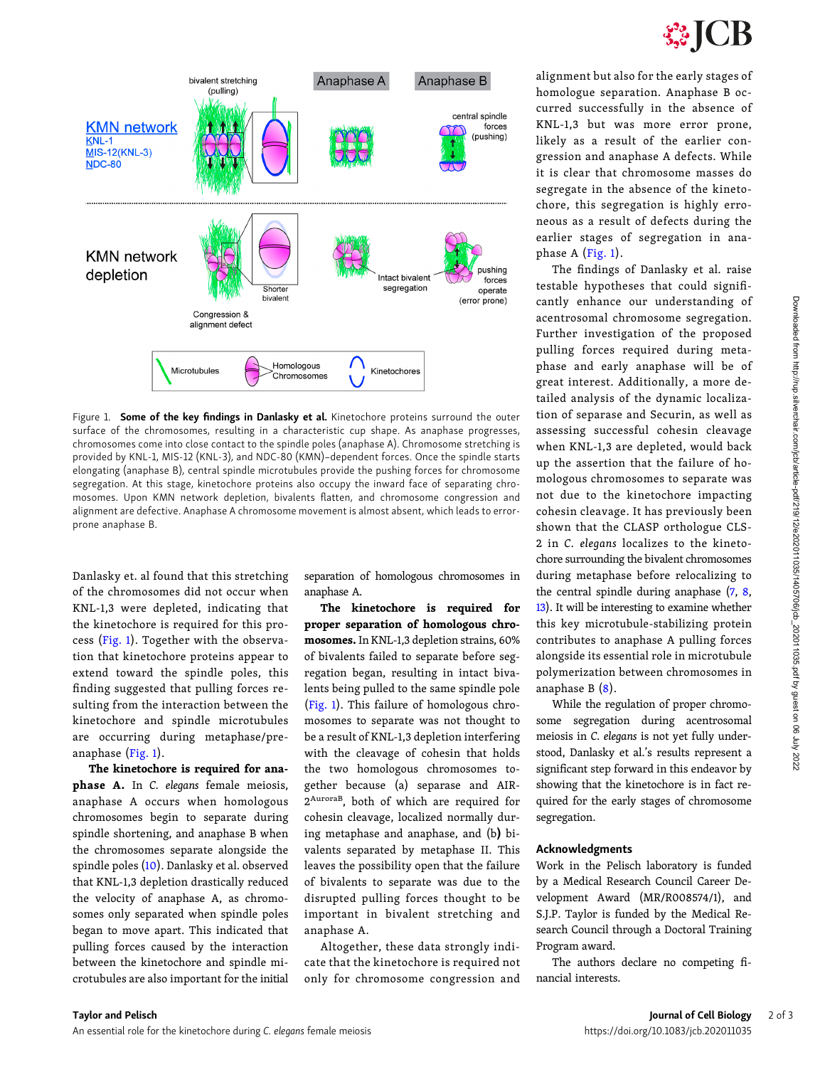

<span id="page-1-0"></span>

Figure 1. Some of the key findings in Danlasky et al. Kinetochore proteins surround the outer surface of the chromosomes, resulting in a characteristic cup shape. As anaphase progresses, chromosomes come into close contact to the spindle poles (anaphase A). Chromosome stretching is provided by KNL-1, MIS-12 (KNL-3), and NDC-80 (KMN)–dependent forces. Once the spindle starts elongating (anaphase B), central spindle microtubules provide the pushing forces for chromosome segregation. At this stage, kinetochore proteins also occupy the inward face of separating chromosomes. Upon KMN network depletion, bivalents flatten, and chromosome congression and alignment are defective. Anaphase A chromosome movement is almost absent, which leads to errorprone anaphase B.

Danlasky et. al found that this stretching of the chromosomes did not occur when KNL-1,3 were depleted, indicating that the kinetochore is required for this process (Fig. 1). Together with the observation that kinetochore proteins appear to extend toward the spindle poles, this finding suggested that pulling forces resulting from the interaction between the kinetochore and spindle microtubules are occurring during metaphase/preanaphase (Fig. 1).

The kinetochore is required for anaphase A. In C. elegans female meiosis, anaphase A occurs when homologous chromosomes begin to separate during spindle shortening, and anaphase B when the chromosomes separate alongside the spindle poles ([10](#page-2-0)). Danlasky et al. observed that KNL-1,3 depletion drastically reduced the velocity of anaphase A, as chromosomes only separated when spindle poles began to move apart. This indicated that pulling forces caused by the interaction between the kinetochore and spindle microtubules are also important for the initial

separation of homologous chromosomes in anaphase A.

The kinetochore is required for proper separation of homologous chromosomes. In KNL-1,3 depletion strains, 60% of bivalents failed to separate before segregation began, resulting in intact bivalents being pulled to the same spindle pole (Fig. 1). This failure of homologous chromosomes to separate was not thought to be a result of KNL-1,3 depletion interfering with the cleavage of cohesin that holds the two homologous chromosomes together because (a) separase and AIR-2AuroraB, both of which are required for cohesin cleavage, localized normally during metaphase and anaphase, and (b) bivalents separated by metaphase II. This leaves the possibility open that the failure of bivalents to separate was due to the disrupted pulling forces thought to be important in bivalent stretching and anaphase A.

Altogether, these data strongly indicate that the kinetochore is required not only for chromosome congression and alignment but also for the early stages of homologue separation. Anaphase B occurred successfully in the absence of KNL-1,3 but was more error prone, likely as a result of the earlier congression and anaphase A defects. While it is clear that chromosome masses do segregate in the absence of the kinetochore, this segregation is highly erroneous as a result of defects during the earlier stages of segregation in anaphase A  $(Fig. 1)$ .

The findings of Danlasky et al. raise testable hypotheses that could significantly enhance our understanding of acentrosomal chromosome segregation. Further investigation of the proposed pulling forces required during metaphase and early anaphase will be of great interest. Additionally, a more detailed analysis of the dynamic localization of separase and Securin, as well as assessing successful cohesin cleavage when KNL-1,3 are depleted, would back up the assertion that the failure of homologous chromosomes to separate was not due to the kinetochore impacting cohesin cleavage. It has previously been shown that the CLASP orthologue CLS-2 in C. elegans localizes to the kinetochore surrounding the bivalent chromosomes during metaphase before relocalizing to the central spindle during anaphase ([7,](#page-2-0) [8,](#page-2-0) [13](#page-2-0)). It will be interesting to examine whether this key microtubule-stabilizing protein contributes to anaphase A pulling forces alongside its essential role in microtubule polymerization between chromosomes in anaphase B [\(8](#page-2-0)).

While the regulation of proper chromosome segregation during acentrosomal meiosis in C. elegans is not yet fully understood, Danlasky et al.'s results represent a significant step forward in this endeavor by showing that the kinetochore is in fact required for the early stages of chromosome segregation.

## Acknowledgments

Work in the Pelisch laboratory is funded by a Medical Research Council Career Development Award (MR/R008574/1), and S.J.P. Taylor is funded by the Medical Research Council through a Doctoral Training Program award.

The authors declare no competing financial interests.